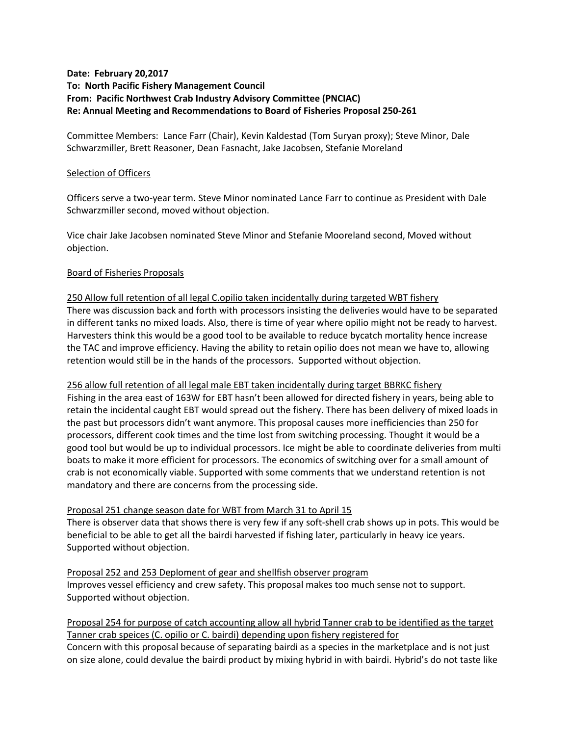# **Date: February 20,2017 To: North Pacific Fishery Management Council From: Pacific Northwest Crab Industry Advisory Committee (PNCIAC) Re: Annual Meeting and Recommendations to Board of Fisheries Proposal 250-261**

Committee Members: Lance Farr (Chair), Kevin Kaldestad (Tom Suryan proxy); Steve Minor, Dale Schwarzmiller, Brett Reasoner, Dean Fasnacht, Jake Jacobsen, Stefanie Moreland

### Selection of Officers

Officers serve a two-year term. Steve Minor nominated Lance Farr to continue as President with Dale Schwarzmiller second, moved without objection.

Vice chair Jake Jacobsen nominated Steve Minor and Stefanie Mooreland second, Moved without objection.

### Board of Fisheries Proposals

250 Allow full retention of all legal C.opilio taken incidentally during targeted WBT fishery There was discussion back and forth with processors insisting the deliveries would have to be separated in different tanks no mixed loads. Also, there is time of year where opilio might not be ready to harvest. Harvesters think this would be a good tool to be available to reduce bycatch mortality hence increase the TAC and improve efficiency. Having the ability to retain opilio does not mean we have to, allowing retention would still be in the hands of the processors. Supported without objection.

256 allow full retention of all legal male EBT taken incidentally during target BBRKC fishery Fishing in the area east of 163W for EBT hasn't been allowed for directed fishery in years, being able to retain the incidental caught EBT would spread out the fishery. There has been delivery of mixed loads in the past but processors didn't want anymore. This proposal causes more inefficiencies than 250 for processors, different cook times and the time lost from switching processing. Thought it would be a good tool but would be up to individual processors. Ice might be able to coordinate deliveries from multi boats to make it more efficient for processors. The economics of switching over for a small amount of crab is not economically viable. Supported with some comments that we understand retention is not

#### Proposal 251 change season date for WBT from March 31 to April 15

mandatory and there are concerns from the processing side.

There is observer data that shows there is very few if any soft-shell crab shows up in pots. This would be beneficial to be able to get all the bairdi harvested if fishing later, particularly in heavy ice years. Supported without objection.

Proposal 252 and 253 Deploment of gear and shellfish observer program Improves vessel efficiency and crew safety. This proposal makes too much sense not to support. Supported without objection.

## Proposal 254 for purpose of catch accounting allow all hybrid Tanner crab to be identified as the target Tanner crab speices (C. opilio or C. bairdi) depending upon fishery registered for

Concern with this proposal because of separating bairdi as a species in the marketplace and is not just on size alone, could devalue the bairdi product by mixing hybrid in with bairdi. Hybrid's do not taste like